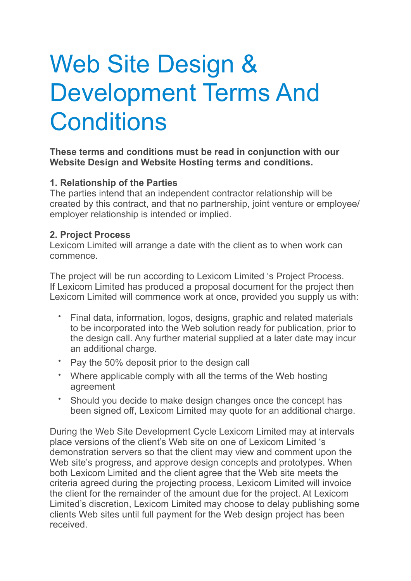# Web Site Design & Development Terms And **Conditions**

## **These terms and conditions must be read in conjunction with our Website Design and Website Hosting terms and conditions.**

## **1. Relationship of the Parties**

The parties intend that an independent contractor relationship will be created by this contract, and that no partnership, joint venture or employee/ employer relationship is intended or implied.

## **2. Project Process**

Lexicom Limited will arrange a date with the client as to when work can commence.

The project will be run according to Lexicom Limited 's Project Process. If Lexicom Limited has produced a proposal document for the project then Lexicom Limited will commence work at once, provided you supply us with:

- Final data, information, logos, designs, graphic and related materials to be incorporated into the Web solution ready for publication, prior to the design call. Any further material supplied at a later date may incur an additional charge.
- Pay the 50% deposit prior to the design call
- Where applicable comply with all the terms of the Web hosting agreement
- Should you decide to make design changes once the concept has been signed off, Lexicom Limited may quote for an additional charge.

During the Web Site Development Cycle Lexicom Limited may at intervals place versions of the client's Web site on one of Lexicom Limited 's demonstration servers so that the client may view and comment upon the Web site's progress, and approve design concepts and prototypes. When both Lexicom Limited and the client agree that the Web site meets the criteria agreed during the projecting process, Lexicom Limited will invoice the client for the remainder of the amount due for the project. At Lexicom Limited's discretion, Lexicom Limited may choose to delay publishing some clients Web sites until full payment for the Web design project has been received.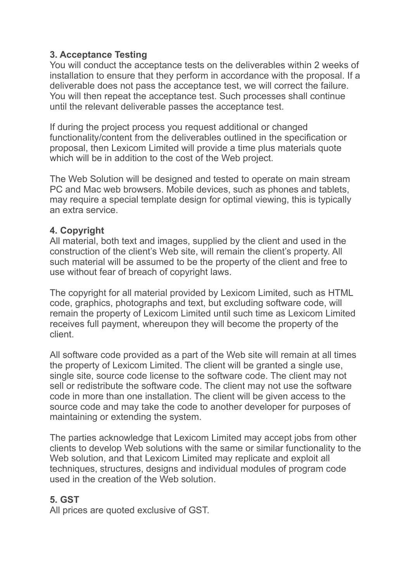## **3. Acceptance Testing**

You will conduct the acceptance tests on the deliverables within 2 weeks of installation to ensure that they perform in accordance with the proposal. If a deliverable does not pass the acceptance test, we will correct the failure. You will then repeat the acceptance test. Such processes shall continue until the relevant deliverable passes the acceptance test.

If during the project process you request additional or changed functionality/content from the deliverables outlined in the specification or proposal, then Lexicom Limited will provide a time plus materials quote which will be in addition to the cost of the Web project.

The Web Solution will be designed and tested to operate on main stream PC and Mac web browsers. Mobile devices, such as phones and tablets, may require a special template design for optimal viewing, this is typically an extra service.

## **4. Copyright**

All material, both text and images, supplied by the client and used in the construction of the client's Web site, will remain the client's property. All such material will be assumed to be the property of the client and free to use without fear of breach of copyright laws.

The copyright for all material provided by Lexicom Limited, such as HTML code, graphics, photographs and text, but excluding software code, will remain the property of Lexicom Limited until such time as Lexicom Limited receives full payment, whereupon they will become the property of the client.

All software code provided as a part of the Web site will remain at all times the property of Lexicom Limited. The client will be granted a single use, single site, source code license to the software code. The client may not sell or redistribute the software code. The client may not use the software code in more than one installation. The client will be given access to the source code and may take the code to another developer for purposes of maintaining or extending the system.

The parties acknowledge that Lexicom Limited may accept jobs from other clients to develop Web solutions with the same or similar functionality to the Web solution, and that Lexicom Limited may replicate and exploit all techniques, structures, designs and individual modules of program code used in the creation of the Web solution.

## **5. GST**

All prices are quoted exclusive of GST.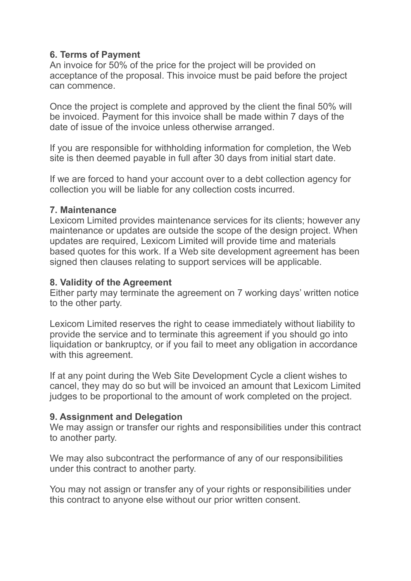## **6. Terms of Payment**

An invoice for 50% of the price for the project will be provided on acceptance of the proposal. This invoice must be paid before the project can commence.

Once the project is complete and approved by the client the final 50% will be invoiced. Payment for this invoice shall be made within 7 days of the date of issue of the invoice unless otherwise arranged.

If you are responsible for withholding information for completion, the Web site is then deemed payable in full after 30 days from initial start date.

If we are forced to hand your account over to a debt collection agency for collection you will be liable for any collection costs incurred.

## **7. Maintenance**

Lexicom Limited provides maintenance services for its clients; however any maintenance or updates are outside the scope of the design project. When updates are required, Lexicom Limited will provide time and materials based quotes for this work. If a Web site development agreement has been signed then clauses relating to support services will be applicable.

## **8. Validity of the Agreement**

Either party may terminate the agreement on 7 working days' written notice to the other party.

Lexicom Limited reserves the right to cease immediately without liability to provide the service and to terminate this agreement if you should go into liquidation or bankruptcy, or if you fail to meet any obligation in accordance with this agreement.

If at any point during the Web Site Development Cycle a client wishes to cancel, they may do so but will be invoiced an amount that Lexicom Limited judges to be proportional to the amount of work completed on the project.

## **9. Assignment and Delegation**

We may assign or transfer our rights and responsibilities under this contract to another party.

We may also subcontract the performance of any of our responsibilities under this contract to another party.

You may not assign or transfer any of your rights or responsibilities under this contract to anyone else without our prior written consent.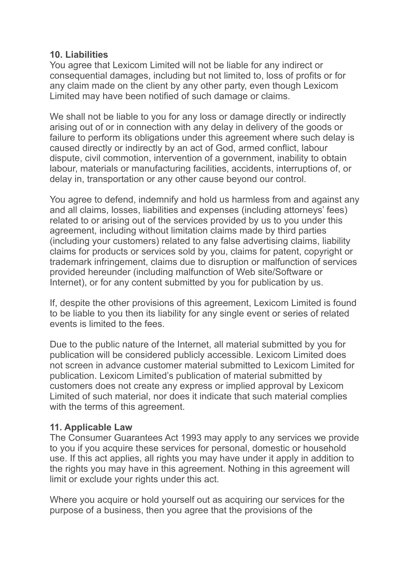#### **10. Liabilities**

You agree that Lexicom Limited will not be liable for any indirect or consequential damages, including but not limited to, loss of profits or for any claim made on the client by any other party, even though Lexicom Limited may have been notified of such damage or claims.

We shall not be liable to you for any loss or damage directly or indirectly arising out of or in connection with any delay in delivery of the goods or failure to perform its obligations under this agreement where such delay is caused directly or indirectly by an act of God, armed conflict, labour dispute, civil commotion, intervention of a government, inability to obtain labour, materials or manufacturing facilities, accidents, interruptions of, or delay in, transportation or any other cause beyond our control.

You agree to defend, indemnify and hold us harmless from and against any and all claims, losses, liabilities and expenses (including attorneys' fees) related to or arising out of the services provided by us to you under this agreement, including without limitation claims made by third parties (including your customers) related to any false advertising claims, liability claims for products or services sold by you, claims for patent, copyright or trademark infringement, claims due to disruption or malfunction of services provided hereunder (including malfunction of Web site/Software or Internet), or for any content submitted by you for publication by us.

If, despite the other provisions of this agreement, Lexicom Limited is found to be liable to you then its liability for any single event or series of related events is limited to the fees.

Due to the public nature of the Internet, all material submitted by you for publication will be considered publicly accessible. Lexicom Limited does not screen in advance customer material submitted to Lexicom Limited for publication. Lexicom Limited's publication of material submitted by customers does not create any express or implied approval by Lexicom Limited of such material, nor does it indicate that such material complies with the terms of this agreement.

## **11. Applicable Law**

The Consumer Guarantees Act 1993 may apply to any services we provide to you if you acquire these services for personal, domestic or household use. If this act applies, all rights you may have under it apply in addition to the rights you may have in this agreement. Nothing in this agreement will limit or exclude your rights under this act.

Where you acquire or hold yourself out as acquiring our services for the purpose of a business, then you agree that the provisions of the